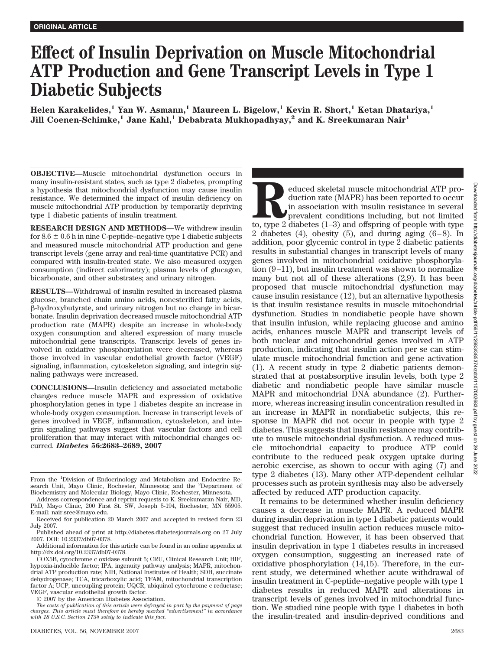# **Effect of Insulin Deprivation on Muscle Mitochondrial ATP Production and Gene Transcript Levels in Type 1 Diabetic Subjects**

**Helen Karakelides,1 Yan W. Asmann,1 Maureen L. Bigelow,1 Kevin R. Short,1 Ketan Dhatariya,1 Jill Coenen-Schimke,<sup>1</sup> Jane Kahl,<sup>1</sup> Debabrata Mukhopadhyay,<sup>2</sup> and K. Sreekumaran Nair<sup>1</sup>** 

**OBJECTIVE—**Muscle mitochondrial dysfunction occurs in many insulin-resistant states, such as type 2 diabetes, prompting a hypothesis that mitochondrial dysfunction may cause insulin resistance. We determined the impact of insulin deficiency on muscle mitochondrial ATP production by temporarily depriving type 1 diabetic patients of insulin treatment.

**RESEARCH DESIGN AND METHODS—**We withdrew insulin for 8.6  $\pm$  0.6 h in nine C-peptide–negative type 1 diabetic subjects and measured muscle mitochondrial ATP production and gene transcript levels (gene array and real-time quantitative PCR) and compared with insulin-treated state. We also measured oxygen consumption (indirect calorimetry); plasma levels of glucagon, bicarbonate, and other substrates; and urinary nitrogen.

**RESULTS—**Withdrawal of insulin resulted in increased plasma glucose, branched chain amino acids, nonesterified fatty acids, --hydroxybutyrate, and urinary nitrogen but no change in bicarbonate. Insulin deprivation decreased muscle mitochondrial ATP production rate (MAPR) despite an increase in whole-body oxygen consumption and altered expression of many muscle mitochondrial gene transcripts. Transcript levels of genes involved in oxidative phosphorylation were decreased, whereas those involved in vascular endothelial growth factor (VEGF) signaling, inflammation, cytoskeleton signaling, and integrin signaling pathways were increased.

**CONCLUSIONS—**Insulin deficiency and associated metabolic changes reduce muscle MAPR and expression of oxidative phosphorylation genes in type 1 diabetes despite an increase in whole-body oxygen consumption. Increase in transcript levels of genes involved in VEGF, inflammation, cytoskeleton, and integrin signaling pathways suggest that vascular factors and cell proliferation that may interact with mitochondrial changes occurred. *Diabetes* **56:2683–2689, 2007**

© 2007 by the American Diabetes Association.

Reduced skeletal muscle mitochondrial ATP pro-<br>duction rate (MAPR) has been reported to occur<br>in association with insulin resistance in several<br>prevalent conditions including, but not limited<br>to, type 2 diabetes (1–3) and duction rate (MAPR) has been reported to occur in association with insulin resistance in several prevalent conditions including, but not limited 2 diabetes (4), obesity (5), and during aging  $(6-8)$ . In addition, poor glycemic control in type 2 diabetic patients results in substantial changes in transcript levels of many genes involved in mitochondrial oxidative phosphorylation  $(9-11)$ , but insulin treatment was shown to normalize many but not all of these alterations (2,9). It has been proposed that muscle mitochondrial dysfunction may cause insulin resistance (12), but an alternative hypothesis is that insulin resistance results in muscle mitochondrial dysfunction. Studies in nondiabetic people have shown that insulin infusion, while replacing glucose and amino acids, enhances muscle MAPR and transcript levels of both nuclear and mitochondrial genes involved in ATP production, indicating that insulin action per se can stimulate muscle mitochondrial function and gene activation (1). A recent study in type 2 diabetic patients demonstrated that at postabsorptive insulin levels, both type 2 diabetic and nondiabetic people have similar muscle MAPR and mitochondrial DNA abundance (2). Furthermore, whereas increasing insulin concentration resulted in an increase in MAPR in nondiabetic subjects, this response in MAPR did not occur in people with type 2 diabetes. This suggests that insulin resistance may contribute to muscle mitochondrial dysfunction. A reduced muscle mitochondrial capacity to produce ATP could contribute to the reduced peak oxygen uptake during aerobic exercise, as shown to occur with aging (7) and type 2 diabetes (13). Many other ATP-dependent cellular processes such as protein synthesis may also be adversely affected by reduced ATP production capacity.

It remains to be determined whether insulin deficiency causes a decrease in muscle MAPR. A reduced MAPR during insulin deprivation in type 1 diabetic patients would suggest that reduced insulin action reduces muscle mitochondrial function. However, it has been observed that insulin deprivation in type 1 diabetes results in increased oxygen consumption, suggesting an increased rate of oxidative phosphorylation (14,15). Therefore, in the current study, we determined whether acute withdrawal of insulin treatment in C-peptide–negative people with type 1 diabetes results in reduced MAPR and alterations in transcript levels of genes involved in mitochondrial function. We studied nine people with type 1 diabetes in both the insulin-treated and insulin-deprived conditions and

From the <sup>1</sup>Division of Endocrinology and Metabolism and Endocrine Research Unit, Mayo Clinic, Rochester, Minnesota; and the <sup>2</sup>Department of Biochemistry and Molecular Biology, Mayo Clinic, Rochester, Minnesota.

Address correspondence and reprint requests to K. Sreekumaran Nair, MD, PhD, Mayo Clinic, 200 First St. SW, Joseph 5-194, Rochester, MN 55905. E-mail: nair.sree@mayo.edu.

Received for publication 20 March 2007 and accepted in revised form 23 July 2007.

Published ahead of print at http://diabetes.diabetesjournals.org on 27 July 2007. DOI: 10.2337/db07-0378.

Additional information for this article can be found in an online appendix at http://dx.doi.org/10.2337/db07-0378.

COX5B, cytochrome c oxidase subunit 5; CRU, Clinical Research Unit; HIF, hypoxia-inducible factor; IPA, ingenuity pathway analysis; MAPR, mitochondrial ATP production rate; NIH, National Institutes of Health; SDH, succinate dehydrogenase; TCA, tricarboxylic acid; TFAM, mitochondrial transcription factor A; UCP, uncoupling protein; UQCR, ubiquinol cytochrome c reductase; VEGF, vascular endothelial growth factor.

*The costs of publication of this article were defrayed in part by the payment of page charges. This article must therefore be hereby marked "advertisement" in accordance with 18 U.S.C. Section 1734 solely to indicate this fact.*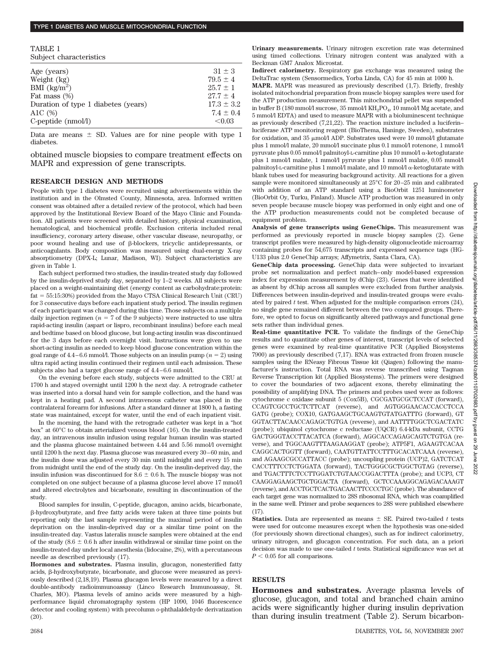## **TYPE 1 DIABETES AND MUSCLE MITOCHONDRIAL FUNCTION**

TABLE 1 Subject characteristics

| $31 \pm 3$     |
|----------------|
| $79.5 \pm 4$   |
| $25.7 \pm 1$   |
| $27.7 + 4$     |
| $17.3 \pm 3.2$ |
| $7.4 \pm 0.4$  |
| < 0.03         |
|                |

Data are means  $\pm$  SD. Values are for nine people with type 1 diabetes.

obtained muscle biopsies to compare treatment effects on MAPR and expression of gene transcripts.

#### **RESEARCH DESIGN AND METHODS**

People with type 1 diabetes were recruited using advertisements within the institution and in the Olmsted County, Minnesota, area. Informed written consent was obtained after a detailed review of the protocol, which had been approved by the Institutional Review Board of the Mayo Clinic and Foundation. All patients were screened with detailed history, physical examination, hematological, and biochemical profile. Exclusion criteria included renal insufficiency, coronary artery disease, other vascular disease, neuropathy, or poor wound healing and use of  $\beta$ -blockers, tricyclic antidepressants, or anticoagulants. Body composition was measured using dual-energy X-ray absorptiometry (DPX-L; Lunar, Madison, WI). Subject characteristics are given in Table 1.

Each subject performed two studies, the insulin-treated study day followed by the insulin-deprived study day, separated by 1–2 weeks. All subjects were placed on a weight-maintaining diet (energy content as carbohydrate:protein: fat 55:15:30%) provided from the Mayo CTSA Clinical Research Unit (CRU) for 3 consecutive days before each inpatient study period. The insulin regimen of each participant was changed during this time. Those subjects on a multiple daily injection regimen ( $n = 7$  of the 9 subjects) were instructed to use ultra rapid-acting insulin (aspart or lispro, recombinant insulins) before each meal and bedtime based on blood glucose, but long-acting insulin was discontinued for the 3 days before each overnight visit. Instructions were given to use short-acting insulin as needed to keep blood glucose concentration within the goal range of  $4.4 - 6.6$  mmol/l. Those subjects on an insulin pump ( $n = 2$ ) using ultra rapid acting insulin continued their regimen until each admission. These subjects also had a target glucose range of  $4.4 - 6.6$  mmol/l.

On the evening before each study, subjects were admitted to the CRU at 1700 h and stayed overnight until 1200 h the next day. A retrograde catheter was inserted into a dorsal hand vein for sample collection, and the hand was kept in a heating pad. A second intravenous catheter was placed in the contralateral forearm for infusions. After a standard dinner at 1800 h, a fasting state was maintained, except for water, until the end of each inpatient visit.

In the morning, the hand with the retrograde catheter was kept in a "hot box" at 60°C to obtain arterialized venous blood (16). On the insulin-treated day, an intravenous insulin infusion using regular human insulin was started and the plasma glucose maintained between 4.44 and 5.56 mmol/l overnight until 1200 h the next day. Plasma glucose was measured every 30 – 60 min, and the insulin dose was adjusted every 30 min until midnight and every 15 min from midnight until the end of the study day. On the insulin-deprived day, the insulin infusion was discontinued for  $8.6 \pm 0.6$  h. The muscle biopsy was not completed on one subject because of a plasma glucose level above 17 mmol/l and altered electrolytes and bicarbonate, resulting in discontinuation of the study.

Blood samples for insulin, C-peptide, glucagon, amino acids, bicarbonate, --hydroxybutyrate, and free fatty acids were taken at three time points but reporting only the last sample representing the maximal period of insulin deprivation on the insulin-deprived day or a similar time point on the insulin-treated day. Vastus lateralis muscle samples were obtained at the end of the study (8.6  $\pm$  0.6 h after insulin withdrawal or similar time point on the insulin-treated day under local anesthesia (lidocaine, 2%), with a percutaneous needle as described previously (17).

**Hormones and substrates.** Plasma insulin, glucagon, nonesterified fatty acids,  $\beta$ -hydroxybutyrate, bicarbonate, and glucose were measured as previously described (2,18,19). Plasma glucagon levels were measured by a direct double-antibody radioimmunoassay (Linco Research Immunoassay, St. Charles, MO). Plasma levels of amino acids were measured by a highperformance liquid chromatography system (HP 1090, 1046 fluorescence detector and cooling system) with precolumn *o*-phthalaldehyde derivatization (20).

**Urinary measurements.** Urinary nitrogen excretion rate was determined using timed collections. Urinary nitrogen content was analyzed with a Beckman GM7 Analox Microstat.

**Indirect calorimetry.** Respiratory gas exchange was measured using the DeltaTrac system (Sensormedics, Yorba Linda, CA) for 45 min at 1000 h.

**MAPR.** MAPR was measured as previously described (1,7). Briefly, freshly isolated mitochondrial preparation from muscle biopsy samples were used for the ATP production measurement. This mitochondrial pellet was suspended in buffer B (180 mmol/l sucrose, 35 mmol/l KH<sub>2</sub>PO<sub>4</sub>, 10 mmol/l Mg acetate, and 5 mmol/l EDTA) and used to measure MAPR with a bioluminescent technique as previously described (7,21,22). The reaction mixture included a luciferin– luciferase ATP monitoring reagent (BioThema, Haninge, Sweden), substrates for oxidation, and 35  $\mu$ mol/l ADP. Substrates used were 10 mmol/l glutamate plus 1 mmol/l malate, 20 mmol/l succinate plus 0.1 mmol/l rotenone, 1 mmol/l pyruvate plus  $0.05$  mmol/l palmitoyl-L-carnitine plus  $10$  mmol/l  $\alpha$ -ketoglutarate plus 1 mmol/l malate, 1 mmol/l pyruvate plus 1 mmol/l malate, 0.05 mmol/l palmitoyl-L-carnitine plus 1 mmol/l malate, and 10 mmol/l  $\alpha$ -ketoglutarate with blank tubes used for measuring background activity. All reactions for a given sample were monitored simultaneously at  $25^{\circ}\mathrm{C}$  for 20–25 min and calibrated with addition of an ATP standard using a BioOrbit 1251 luminometer (BioOrbit Oy, Turku, Finland). Muscle ATP production was measured in only seven people because muscle biopsy was performed in only eight and one of the ATP production measurements could not be completed because of equipment problem.

**Analysis of gene transcripts using GeneChips.** This measurement was performed as previously reported in muscle biopsy samples (2). Gene transcript profiles were measured by high-density oligonucleotide microarray containing probes for 54,675 transcripts and expressed sequence tags (HG-U133 plus 2.0 GeneChip arrays; Affymetrix, Santa Clara, CA).

**GeneChip data processing.** GeneChip data were subjected to invariant probe set normalization and perfect match– only model-based expression index for expression measurement by dChip (23). Genes that were identified as absent by dChip across all samples were excluded from further analysis. Differences between insulin-deprived and insulin-treated groups were evaluated by paired *t* test. When adjusted for the multiple comparison errors (24), no single gene remained different between the two compared groups. Therefore, we opted to focus on significantly altered pathways and functional gene sets rather than individual genes.

**Real-time quantitative PCR.** To validate the findings of the GeneChip results and to quantitate other genes of interest, transcript levels of selected genes were examined by real-time quantitative PCR (Applied Biosystems 7900) as previously described (7,17). RNA was extracted from frozen muscle samples using the RNeasy Fibrous Tissue kit (Qiagen) following the manufacturer's instruction. Total RNA was reverse transcribed using Taqman Reverse Transcription kit (Applied Biosystems). The primers were designed to cover the boundaries of two adjacent exons, thereby eliminating the possibility of amplifying DNA. The primers and probes used were as follows: cytochrome c oxidase subunit 5 (Cox5B), CGCGATGCGCTCCAT (forward), CCAGTCGCCTGCTCTTCAT (reverse), and AGTGGGAACACCACCTCCA GATG (probe); COX10, GATGAAGCTGCAAGTGTATGATTTG (forward), GT GGTACTTACAACCAGAGCTGTGA (reverse), and AATTTTGGCTCGACTATC (probe); ubiquinol cytochrome c reductase (UQCR) 6.4-kDa subunit, CCTG GACTGGGTACCTTACATCA (forward), AGGCACCAGAGCAGTCTGTGA (reverse), and TGGCAAGTTTAAGAAGGAT (probe); ATP5F1, AGAAGTCACAA CAGGCACTGGTT (forward), CAATGTTATTCCTTTGCACATCAAA (reverse), and AGAAGCGCCATTACC (probe); uncoupling protein (UCP)2, GATCTCAT CACCTTTCCTCTGGATA (forward), TACTGGGCGCTGGCTGTAG (reverse), and TGACTTTCTCCTTGGATCTGTAACCGGACTTTA (probe); and UCP3, CT CAAGGAGAAGCTGCTGGACTA (forward), GCTCCAAAGGCAGAGACAAAGT (reverse), and ACCTGCTCACTGACAACTTCCCCTGC (probe). The abundance of each target gene was normalized to 28S ribosomal RNA, which was coamplified in the same well. Primer and probe sequences to 28S were published elsewhere (17).

**Statistics.** Data are represented as means  $\pm$  SE. Paired two-tailed t tests were used for outcome measures except when the hypothesis was one-sided (for previously shown directional changes), such as for indirect calorimetry, urinary nitrogen, and glucagon concentration. For such data, an a priori decision was made to use one-tailed *t* tests. Statistical significance was set at  $P < 0.05$  for all comparisons.

## **RESULTS**

**Hormones and substrates.** Average plasma levels of glucose, glucagon, and total and branched chain amino acids were significantly higher during insulin deprivation than during insulin treatment (Table 2). Serum bicarbon-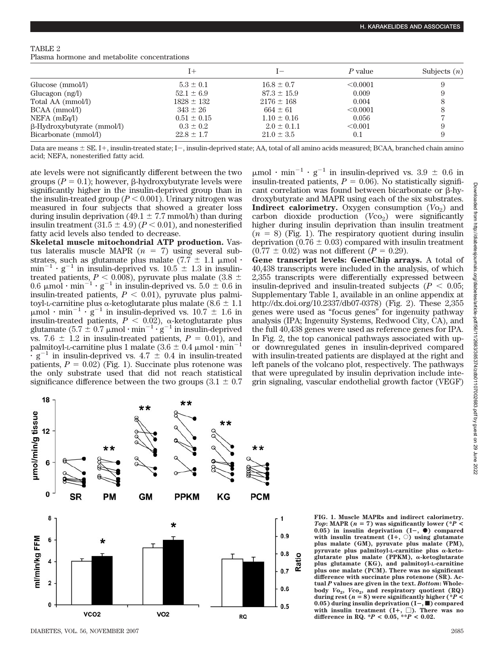## TABLE 2

Plasma hormone and metabolite concentrations

|                                   |                 |                 | P value  | Subjects $(n)$ |
|-----------------------------------|-----------------|-----------------|----------|----------------|
| Glucose (mmol/l)                  | $5.3 \pm 0.1$   | $16.8 \pm 0.7$  | < 0.0001 |                |
| Glucagon $(ng/l)$                 | $52.1 \pm 6.9$  | $87.3 \pm 15.9$ | 0.009    |                |
| Total AA (mmol/l)                 | $1828 \pm 132$  | $2176 \pm 168$  | 0.004    |                |
| $BCAA$ (mmol/l)                   | $343 \pm 26$    | $664 \pm 61$    | < 0.0001 |                |
| $NEFA$ (mEq/l)                    | $0.51 \pm 0.15$ | $1.10 \pm 0.16$ | 0.056    |                |
| $\beta$ -Hydroxybutyrate (mmol/l) | $0.3 \pm 0.2$   | $2.0 \pm 0.1.1$ | < 0.001  |                |
| Bicarbonate (mmol/l)              | $22.8 \pm 1.7$  | $21.0 \pm 3.5$  | 0.1      |                |

Data are means  $\pm$  SE. I+, insulin-treated state; I-, insulin-deprived state; AA, total of all amino acids measured; BCAA, branched chain amino acid; NEFA, nonesterified fatty acid.

ate levels were not significantly different between the two groups  $(P = 0.1)$ ; however,  $\beta$ -hydroxybutyrate levels were significantly higher in the insulin-deprived group than in the insulin-treated group  $(P < 0.001)$ . Urinary nitrogen was measured in four subjects that showed a greater loss during insulin deprivation (49.1  $\pm$  7.7 mmol/h) than during insulin treatment  $(31.5 \pm 4.9)$  ( $P < 0.01$ ), and nonesterified fatty acid levels also tended to decrease.

**Skeletal muscle mitochondrial ATP production.** Vastus lateralis muscle MAPR  $(n = 7)$  using several substrates, such as glutamate plus malate (7.7  $\pm$  1.1  $\mu$ mol·  $min^{-1}$  g<sup>-1</sup> in insulin-deprived vs.  $10.5 \pm 1.3$  in insulintreated patients,  $P < 0.008$ ), pyruvate plus malate (3.8  $\pm$  $0.6 \mu$ mol·min<sup>-1</sup>·g<sup>-1</sup> in insulin-deprived vs.  $5.0 \pm 0.6$  in insulin-treated patients,  $P < 0.01$ ), pyruvate plus palmitoyl-L-carnitine plus  $\alpha$ -ketoglutarate plus malate (8.6  $\pm$  1.1  $\mu$ mol · min<sup>-1</sup> · g<sup>-1</sup> in insulin-deprived vs. 10.7  $\pm$  1.6 in insulin-treated patients,  $P < 0.02$ ),  $\alpha$ -ketoglutarate plus glutamate  $(5.7 \pm 0.7 \mu mol \cdot min^{-1} \cdot g^{-1}$  in insulin-deprived vs. 7.6  $\pm$  1.2 in insulin-treated patients,  $P = 0.01$ ), and palmitoyl-L-carnitine plus 1 malate (3.6  $\pm$  0.4  $\mu$ mol  $\cdot$  min<sup>-</sup>  $g^{-1}$  in insulin-deprived vs. 4.7  $\pm$  0.4 in insulin-treated patients,  $P = 0.02$ ) (Fig. 1). Succinate plus rotenone was the only substrate used that did not reach statistical significance difference between the two groups  $(3.1 \pm 0.7)$   $\mu$ mol · min<sup>-1</sup> · g<sup>-1</sup> in insulin-deprived vs. 3.9  $\pm$  0.6 in insulin-treated patients,  $P = 0.06$ ). No statistically significant correlation was found between bicarbonate or  $\beta$ -hydroxybutyrate and MAPR using each of the six substrates. **Indirect calorimetry.** Oxygen consumption  $(Vo_2)$  and carbon dioxide production  $(Vco<sub>2</sub>)$  were significantly higher during insulin deprivation than insulin treatment  $(n = 8)$  (Fig. 1). The respiratory quotient during insulin deprivation (0.76  $\pm$  0.03) compared with insulin treatment  $(0.77 \pm 0.02)$  was not different  $(P = 0.29)$ .

**Gene transcript levels: GeneChip arrays.** A total of 40,438 transcripts were included in the analysis, of which 2,355 transcripts were differentially expressed between insulin-deprived and insulin-treated subjects  $(P < 0.05;$ Supplementary Table 1, available in an online appendix at http://dx.doi.org/10.2337/db07-0378) (Fig. 2). These 2,355 genes were used as "focus genes" for ingenuity pathway analysis (IPA; Ingenuity Systems, Redwood City, CA), and the full 40,438 genes were used as reference genes for IPA. In Fig. 2, the top canonical pathways associated with upor downregulated genes in insulin-deprived compared with insulin-treated patients are displayed at the right and left panels of the volcano plot, respectively. The pathways that were upregulated by insulin deprivation include integrin signaling, vascular endothelial growth factor (VEGF)



**FIG. 1. Muscle MAPRs and indirect calorimetry.** *Top***:** MAPR ( $n = 7$ ) was significantly lower (\**P*  $\cdot$  $(0.05)$  in insulin deprivation  $(I-, \bullet)$  compared with insulin treatment  $(I^+, \circ)$  using glutamate **plus malate (GM), pyruvate plus malate (PM),** pyruvate plus palmitoyl-L-carnitine plus  $\alpha$ -keto $glutarate$  plus malate (PPKM),  $\alpha$ -ketoglutarate **plus glutamate (KG), and palmitoyl-L-carnitine plus one malate (PCM). There was no significant difference with succinate plus rotenone (SR). Actual** *P* **values are given in the text.** *Bottom***: Wholebody**  $Vo_2$ ,  $Vco_2$ , and respiratory quotient (RQ) during rest ( $n = 8$ ) were significantly higher (\**P* < **0.05)** during insulin deprivation (I−,■) compared with insulin treatment  $(I^+, \Box)$ . There was no difference in RQ.  $^*P < 0.05$ ,  $^{**P} < 0.02$ .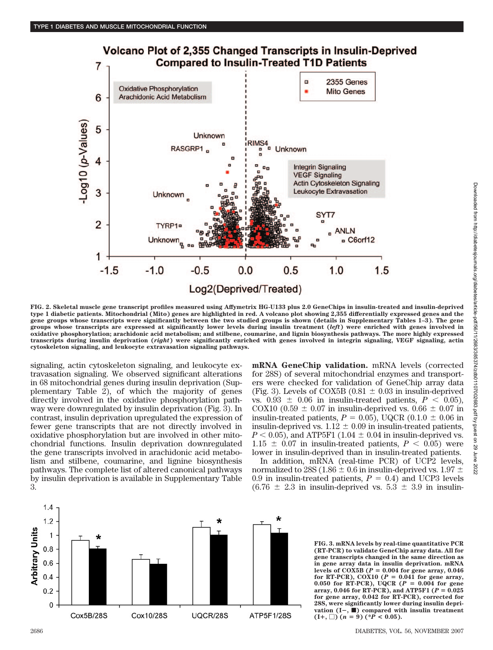

**FIG. 2. Skeletal muscle gene transcript profiles measured using Affymetrix HG-U133 plus 2.0 GeneChips in insulin-treated and insulin-deprived type 1 diabetic patients. Mitochondrial (Mito) genes are highlighted in red. A volcano plot showing 2,355 differentially expressed genes and the gene groups whose transcripts were significantly between the two studied groups is shown (details in Supplementary Tables 1–3). The gene groups whose transcripts are expressed at significantly lower levels during insulin treatment (***left***) were enriched with genes involved in oxidative phosphorylation; arachidonic acid metabolism; and stilbene, coumarine, and lignin biosynthesis pathways. The more highly expressed transcripts during insulin deprivation (***right***) were significantly enriched with genes involved in integrin signaling, VEGF signaling, actin cytoskeleton signaling, and leukocyte extravasation signaling pathways.**

signaling, actin cytoskeleton signaling, and leukocyte extravasation signaling. We observed significant alterations in 68 mitochondrial genes during insulin deprivation (Supplementary Table 2), of which the majority of genes directly involved in the oxidative phosphorylation pathway were downregulated by insulin deprivation (Fig. 3). In contrast, insulin deprivation upregulated the expression of fewer gene transcripts that are not directly involved in oxidative phosphorylation but are involved in other mitochondrial functions. Insulin deprivation downregulated the gene transcripts involved in arachidonic acid metabolism and stilbene, coumarine, and lignine biosynthesis pathways. The complete list of altered canonical pathways by insulin deprivation is available in Supplementary Table 3.

**mRNA GeneChip validation.** mRNA levels (corrected for 28S) of several mitochondrial enzymes and transporters were checked for validation of GeneChip array data (Fig. 3). Levels of COX5B (0.81  $\pm$  0.03 in insulin-deprived vs.  $0.93 \pm 0.06$  in insulin-treated patients,  $P < 0.05$ ), COX10 (0.59  $\pm$  0.07 in insulin-deprived vs. 0.66  $\pm$  0.07 in insulin-treated patients,  $P = 0.05$ ), UQCR (0.1.0  $\pm$  0.06 in insulin-deprived vs.  $1.12 \pm 0.09$  in insulin-treated patients,  $P < 0.05$ ), and ATP5F1 (1.04  $\pm$  0.04 in insulin-deprived vs.  $1.15 \pm 0.07$  in insulin-treated patients,  $P < 0.05$ ) were lower in insulin-deprived than in insulin-treated patients.

In addition, mRNA (real-time PCR) of UCP2 levels, normalized to 28S (1.86  $\pm$  0.6 in insulin-deprived vs. 1.97  $\pm$ 0.9 in insulin-treated patients,  $P = 0.4$ ) and UCP3 levels  $(6.76 \pm 2.3 \text{ in insulin-deprived vs. } 5.3 \pm 3.9 \text{ in insulin-}$ 



**FIG. 3. mRNA levels by real-time quantitative PCR (RT-PCR) to validate GeneChip array data. All for gene transcripts changed in the same direction as in gene array data in insulin deprivation. mRNA** levels of COX5B ( $P = 0.004$  for gene array,  $0.046$ for RT-PCR),  $\angle$ OX10 ( $P = 0.041$  for gene array, **0.050 for RT-PCR), UQCR (** $P = 0.004$  **for gene array, 0.046 for RT-PCR), and ATP5F1 (***P* **0.025 for gene array, 0.042 for RT-PCR), corrected for 28S, were significantly lower during insulin deprivation (I**-**,** f**) compared with insulin treatment**  $(I^+, \Box)$   $(n = 9)$   $(*P < 0.05)$ .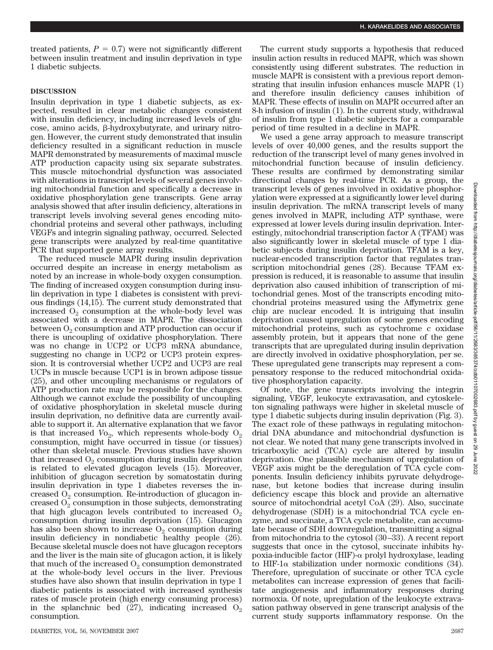treated patients,  $P = 0.7$ ) were not significantly different between insulin treatment and insulin deprivation in type 1 diabetic subjects.

## **DISCUSSION**

Insulin deprivation in type 1 diabetic subjects, as expected, resulted in clear metabolic changes consistent with insulin deficiency, including increased levels of glu- $\cos$ e, amino acids,  $\beta$ -hydroxybutyrate, and urinary nitrogen. However, the current study demonstrated that insulin deficiency resulted in a significant reduction in muscle MAPR demonstrated by measurements of maximal muscle ATP production capacity using six separate substrates. This muscle mitochondrial dysfunction was associated with alterations in transcript levels of several genes involving mitochondrial function and specifically a decrease in oxidative phosphorylation gene transcripts. Gene array analysis showed that after insulin deficiency, alterations in transcript levels involving several genes encoding mitochondrial proteins and several other pathways, including VEGFs and integrin signaling pathway, occurred. Selected gene transcripts were analyzed by real-time quantitative PCR that supported gene array results.

The reduced muscle MAPR during insulin deprivation occurred despite an increase in energy metabolism as noted by an increase in whole-body oxygen consumption. The finding of increased oxygen consumption during insulin deprivation in type 1 diabetes is consistent with previous findings (14,15). The current study demonstrated that increased  $O_2$  consumption at the whole-body level was associated with a decrease in MAPR. The dissociation between  $O_2$  consumption and ATP production can occur if there is uncoupling of oxidative phosphorylation. There was no change in UCP2 or UCP3 mRNA abundance, suggesting no change in UCP2 or UCP3 protein expression. It is controversial whether UCP2 and UCP3 are real UCPs in muscle because UCP1 is in brown adipose tissue (25), and other uncoupling mechanisms or regulators of ATP production rate may be responsible for the changes. Although we cannot exclude the possibility of uncoupling of oxidative phosphorylation in skeletal muscle during insulin deprivation, no definitive data are currently available to support it. An alternative explanation that we favor is that increased  $V_{{}o_2}$ , which represents whole-body  $O_2$ consumption, might have occurred in tissue (or tissues) other than skeletal muscle. Previous studies have shown that increased  $O_2$  consumption during insulin deprivation is related to elevated glucagon levels (15). Moreover, inhibition of glucagon secretion by somatostatin during insulin deprivation in type 1 diabetes reverses the increased  $O_2$  consumption. Re-introduction of glucagon increased  $O_2$  consumption in those subjects, demonstrating that high glucagon levels contributed to increased  $O<sub>2</sub>$ consumption during insulin deprivation (15). Glucagon has also been shown to increase  $O_2$  consumption during insulin deficiency in nondiabetic healthy people (26). Because skeletal muscle does not have glucagon receptors and the liver is the main site of glucagon action, it is likely that much of the increased  $O_2$  consumption demonstrated at the whole-body level occurs in the liver. Previous studies have also shown that insulin deprivation in type 1 diabetic patients is associated with increased synthesis rates of muscle protein (high energy consuming process) in the splanchnic bed  $(27)$ , indicating increased  $O_2$ consumption.

The current study supports a hypothesis that reduced insulin action results in reduced MAPR, which was shown consistently using different substrates. The reduction in muscle MAPR is consistent with a previous report demonstrating that insulin infusion enhances muscle MAPR (1) and therefore insulin deficiency causes inhibition of MAPR. These effects of insulin on MAPR occurred after an 8-h infusion of insulin (1). In the current study, withdrawal of insulin from type 1 diabetic subjects for a comparable period of time resulted in a decline in MAPR.

We used a gene array approach to measure transcript levels of over 40,000 genes, and the results support the reduction of the transcript level of many genes involved in mitochondrial function because of insulin deficiency. These results are confirmed by demonstrating similar directional changes by real-time PCR. As a group, the transcript levels of genes involved in oxidative phosphorylation were expressed at a significantly lower level during insulin deprivation. The mRNA transcript levels of many genes involved in MAPR, including ATP synthase, were expressed at lower levels during insulin deprivation. Interestingly, mitochondrial transcription factor A (TFAM) was also significantly lower in skeletal muscle of type 1 diabetic subjects during insulin deprivation. TFAM is a key, nuclear-encoded transcription factor that regulates transcription mitochondrial genes (28). Because TFAM expression is reduced, it is reasonable to assume that insulin deprivation also caused inhibition of transcription of mitochondrial genes. Most of the transcripts encoding mitochondrial proteins measured using the Affymetrix gene chip are nuclear encoded. It is intriguing that insulin deprivation caused upregulation of some genes encoding mitochondrial proteins, such as cytochrome c oxidase assembly protein, but it appears that none of the gene transcripts that are upregulated during insulin deprivation are directly involved in oxidative phosphorylation, per se. These upregulated gene transcripts may represent a compensatory response to the reduced mitochondrial oxidative phosphorylation capacity.

Of note, the gene transcripts involving the integrin signaling, VEGF, leukocyte extravasation, and cytoskeleton signaling pathways were higher in skeletal muscle of type 1 diabetic subjects during insulin deprivation (Fig. 3). The exact role of these pathways in regulating mitochondrial DNA abundance and mitochondrial dysfunction is not clear. We noted that many gene transcripts involved in tricarboxylic acid (TCA) cycle are altered by insulin deprivation. One plausible mechanism of upregulation of VEGF axis might be the deregulation of TCA cycle components. Insulin deficiency inhibits pyruvate dehydrogenase, but ketone bodies that increase during insulin deficiency escape this block and provide an alternative source of mitochondrial acetyl CoA (29). Also, succinate dehydrogenase (SDH) is a mitochondrial TCA cycle enzyme, and succinate, a TCA cycle metabolite, can accumulate because of SDH downregulation, transmitting a signal from mitochondria to the cytosol (30 –33). A recent report suggests that once in the cytosol, succinate inhibits hypoxia-inducible factor (HIF)- $\alpha$  prolyl hydroxylase, leading to HIF-1 $\alpha$  stabilization under normoxic conditions (34). Therefore, upregulation of succinate or other TCA cycle metabolites can increase expression of genes that facilitate angiogenesis and inflammatory responses during normoxia. Of note, upregulation of the leukocyte extravasation pathway observed in gene transcript analysis of the current study supports inflammatory response. On the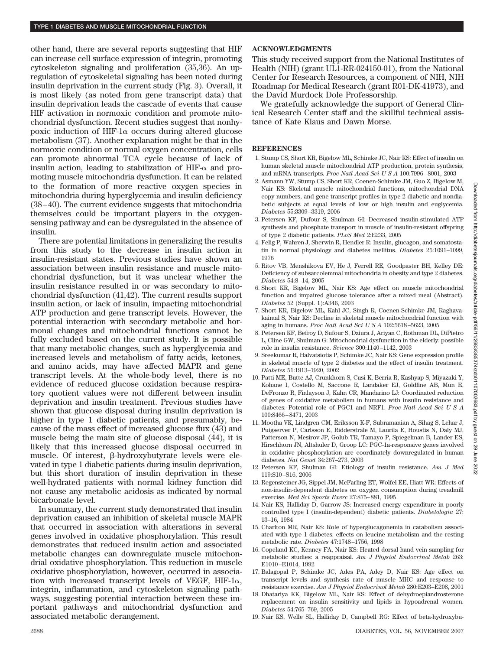other hand, there are several reports suggesting that HIF can increase cell surface expression of integrin, promoting cytoskeleton signaling and proliferation (35,36). An upregulation of cytoskeletal signaling has been noted during insulin deprivation in the current study (Fig. 3). Overall, it is most likely (as noted from gene transcript data) that insulin deprivation leads the cascade of events that cause HIF activation in normoxic condition and promote mitochondrial dysfunction. Recent studies suggest that nonhypoxic induction of HIF-1 $\alpha$  occurs during altered glucose metabolism (37). Another explanation might be that in the normoxic condition or normal oxygen concentration, cells can promote abnormal TCA cycle because of lack of insulin action, leading to stabilization of HIF- $\alpha$  and promoting muscle mitochondria dysfunction. It can be related to the formation of more reactive oxygen species in mitochondria during hyperglycemia and insulin deficiency (38 – 40). The current evidence suggests that mitochondria themselves could be important players in the oxygensensing pathway and can be dysregulated in the absence of insulin.

There are potential limitations in generalizing the results from this study to the decrease in insulin action in insulin-resistant states. Previous studies have shown an association between insulin resistance and muscle mitochondrial dysfunction, but it was unclear whether the insulin resistance resulted in or was secondary to mitochondrial dysfunction (41,42). The current results support insulin action, or lack of insulin, impacting mitochondrial ATP production and gene transcript levels. However, the potential interaction with secondary metabolic and hormonal changes and mitochondrial functions cannot be fully excluded based on the current study. It is possible that many metabolic changes, such as hyperglycemia and increased levels and metabolism of fatty acids, ketones, and amino acids, may have affected MAPR and gene transcript levels. At the whole-body level, there is no evidence of reduced glucose oxidation because respiratory quotient values were not different between insulin deprivation and insulin treatment. Previous studies have shown that glucose disposal during insulin deprivation is higher in type 1 diabetic patients, and presumably, because of the mass effect of increased glucose flux (43) and muscle being the main site of glucose disposal (44), it is likely that this increased glucose disposal occurred in muscle. Of interest, β-hydroxybutyrate levels were elevated in type 1 diabetic patients during insulin deprivation, but this short duration of insulin deprivation in these well-hydrated patients with normal kidney function did not cause any metabolic acidosis as indicated by normal bicarbonate level.

In summary, the current study demonstrated that insulin deprivation caused an inhibition of skeletal muscle MAPR that occurred in association with alterations in several genes involved in oxidative phosphorylation. This result demonstrates that reduced insulin action and associated metabolic changes can downregulate muscle mitochondrial oxidative phosphorylation. This reduction in muscle oxidative phosphorylation, however, occurred in association with increased transcript levels of VEGF, HIF-1 $\alpha$ , integrin, inflammation, and cytoskeleton signaling pathways, suggesting potential interaction between these important pathways and mitochondrial dysfunction and associated metabolic derangement.

## **ACKNOWLEDGMENTS**

This study received support from the National Institutes of Health (NIH) (grant UL1-RR-024150-01), from the National Center for Research Resources, a component of NIH, NIH Roadmap for Medical Research (grant R01-DK-41973), and the David Murdock Dole Professorship.

We gratefully acknowledge the support of General Clinical Research Center staff and the skillful technical assistance of Kate Klaus and Dawn Morse.

## **REFERENCES**

- 1. Stump CS, Short KR, Bigelow ML, Schimke JC, Nair KS: Effect of insulin on human skeletal muscle mitochondrial ATP production, protein synthesis, and mRNA transcripts. *Proc Natl Acad SciUSA* 100:7996 – 8001, 2003
- 2. Asmann YW, Stump CS, Short KR, Coenen-Schimke JM, Guo Z, Bigelow M, Nair KS: Skeletal muscle mitochondrial functions, mitochondrial DNA copy numbers, and gene transcript profiles in type 2 diabetic and nondiabetic subjects at equal levels of low or high insulin and euglycemia. *Diabetes* 55:3309 –3319, 2006
- 3. Petersen KF, Dufour S, Shulman GI: Decreased insulin-stimulated ATP synthesis and phosphate transport in muscle of insulin-resistant offspring of type 2 diabetic patients. *PLoS Med* 2:E233, 2005
- 4. Felig P, Wahren J, Sherwin R, Hendler R: Insulin, glucagon, and somatostatin in normal physiology and diabetes mellitus. *Diabetes* 25:1091–1099, 1976
- 5. Ritov VB, Menshikova EV, He J, Ferrell RE, Goodpaster BH, Kelley DE: Deficiency of subsarcolemmal mitochondria in obesity and type 2 diabetes. *Diabetes* 54:8 –14, 2005
- 6. Short KR, Bigelow ML, Nair KS: Age effect on muscle mitochondrial function and impaired glucose tolerance after a mixed meal (Abstract). *Diabetes* 52 (Suppl. 1):A346, 2003
- 7. Short KR, Bigelow ML, Kahl JC, Singh R, Coenen-Schimke JM, Raghavakaimal S, Nair KS: Decline in skeletal muscle mitochondrial function with aging in humans. *Proc Natl Acad SciUSA* 102:5618 –5623, 2005
- 8. Petersen KF, Befroy D, Sufour S, Dziura J, Ariyan C, Rothman DL, DiPietro L, Cline GW, Shulman G: Mitochondrial dysfunction in the elderly: possible role in insulin resistance. *Science* 300:1140 –1142, 2003
- 9. Sreekumar R, Halvatsiotis P, Schimke JC, Nair KS: Gene expression profile in skeletal muscle of type 2 diabetes and the effect of insulin treatment. *Diabetes* 51:1913–1920, 2002
- 10. Patti ME, Butte AJ, Crunkhorn S, Cusi K, Berria R, Kashyap S, Miyazaki Y, Kohane I, Costello M, Saccone R, Landaker EJ, Goldfine AB, Mun E, DeFronzo R, Finlayson J, Kahn CR, Mandarino LJ: Coordinated reduction of genes of oxidative metabolism in humans with insulin resistance and diabetes: Potential role of PGC1 and NRF1. *Proc Natl Acad SciUSA* 100:8466 – 8471, 2003
- 11. Mootha VK, Lindgren CM, Eriksson K-F, Subramanian A, Sihag S, Lehar J, Puigserver P, Carlsson E, Ridderstrale M, Laurila E, Houstis N, Daly MJ, Patterson N, Mesirov JP, Golub TR, Tamayo P, Spiegelman B, Lander ES, Hirschhorn JN, Altshuler D, Groop LC: PGC-1a-responsive genes involved in oxidative phosphorylation are coordinately downregulated in human diabetes. *Nat Genet* 34:267–273, 2003
- 12. Petersen KF, Shulman GI: Etiology of insulin resistance. *Am J Med* 119:S10 –S16, 2006
- 13. Regensteiner JG, Sippel JM, McFarling ET, Wolfel EE, Hiatt WR: Effects of non-insulin-dependent diabetes on oxygen consumption during treadmill exercise. *Med Sci Sports Exerc* 27:875– 881, 1995
- 14. Nair KS, Halliday D, Garrow JS: Increased energy expenditure in poorly controlled type I (insulin-dependent) diabetic patients. *Diabetologia* 27: 13–16, 1984
- 15. Charlton MR, Nair KS: Role of hyperglucagonemia in catabolism associated with type 1 diabetes: effects on leucine metabolism and the resting metabolic rate. *Diabetes* 47:1748 –1756, 1998
- 16. Copeland KC, Kenney FA, Nair KS: Heated dorsal hand vein sampling for metabolic studies: a reappraisal. *Am J Physiol Endocrinol Metab* 263: E1010 –E1014, 1992
- 17. Balagopal P, Schimke JC, Ades PA, Adey D, Nair KS: Age effect on transcript levels and synthesis rate of muscle MHC and response to resistance exercise. *Am J Physiol Endocrinol Metab* 280:E203–E208, 2001
- 18. Dhatariya KK, Bigelow ML, Nair KS: Effect of dehydroepiandrosterone replacement on insulin sensitivity and lipids in hypoadrenal women. *Diabetes* 54:765–769, 2005
- 19. Nair KS, Welle SL, Halliday D, Campbell RG: Effect of beta-hydroxybu-